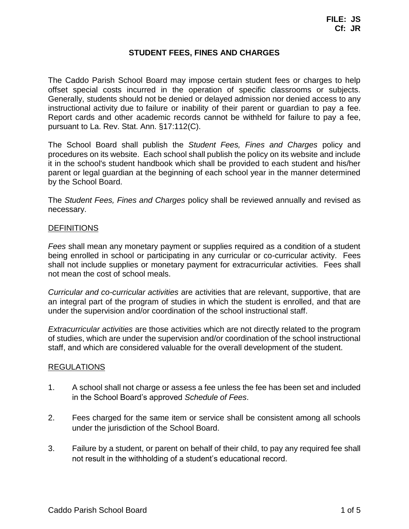# **STUDENT FEES, FINES AND CHARGES**

The Caddo Parish School Board may impose certain student fees or charges to help offset special costs incurred in the operation of specific classrooms or subjects. Generally, students should not be denied or delayed admission nor denied access to any instructional activity due to failure or inability of their parent or guardian to pay a fee. Report cards and other academic records cannot be withheld for failure to pay a fee, pursuant to La. Rev. Stat. Ann. [§17:112\(C\).](http://www.legis.la.gov/Legis/Law.aspx?d=79759)

The School Board shall publish the *Student Fees, Fines and Charges* policy and procedures on its website. Each school shall publish the policy on its website and include it in the school's student handbook which shall be provided to each student and his/her parent or legal guardian at the beginning of each school year in the manner determined by the School Board.

The *Student Fees, Fines and Charges* policy shall be reviewed annually and revised as necessary.

#### DEFINITIONS

*Fees* shall mean any monetary payment or supplies required as a condition of a student being enrolled in school or participating in any curricular or co-curricular activity. Fees shall not include supplies or monetary payment for extracurricular activities. Fees shall not mean the cost of school meals.

*Curricular and co-curricular activities* are activities that are relevant, supportive, that are an integral part of the program of studies in which the student is enrolled, and that are under the supervision and/or coordination of the school instructional staff.

*Extracurricular activities* are those activities which are not directly related to the program of studies, which are under the supervision and/or coordination of the school instructional staff, and which are considered valuable for the overall development of the student.

#### REGULATIONS

- 1. A school shall not charge or assess a fee unless the fee has been set and included in the School Board's approved *Schedule of Fees*.
- 2. Fees charged for the same item or service shall be consistent among all schools under the jurisdiction of the School Board.
- 3. Failure by a student, or parent on behalf of their child, to pay any required fee shall not result in the withholding of a student's educational record.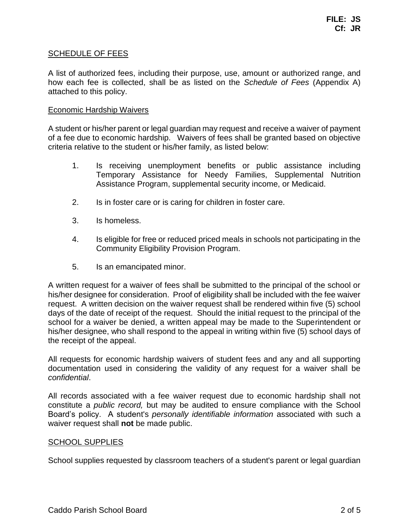### SCHEDULE OF FEES

A list of authorized fees, including their purpose, use, amount or authorized range, and how each fee is collected, shall be as listed on the *Schedule of Fees* (Appendix A) attached to this policy.

#### Economic Hardship Waivers

A student or his/her parent or legal guardian may request and receive a waiver of payment of a fee due to economic hardship. Waivers of fees shall be granted based on objective criteria relative to the student or his/her family, as listed below:

- 1. Is receiving unemployment benefits or public assistance including Temporary Assistance for Needy Families, Supplemental Nutrition Assistance Program, supplemental security income, or Medicaid.
- 2. Is in foster care or is caring for children in foster care.
- 3. Is homeless.
- 4. Is eligible for free or reduced priced meals in schools not participating in the Community Eligibility Provision Program.
- 5. Is an emancipated minor.

A written request for a waiver of fees shall be submitted to the principal of the school or his/her designee for consideration. Proof of eligibility shall be included with the fee waiver request. A written decision on the waiver request shall be rendered within five (5) school days of the date of receipt of the request. Should the initial request to the principal of the school for a waiver be denied, a written appeal may be made to the Superintendent or his/her designee, who shall respond to the appeal in writing within five (5) school days of the receipt of the appeal.

All requests for economic hardship waivers of student fees and any and all supporting documentation used in considering the validity of any request for a waiver shall be *confidential*.

All records associated with a fee waiver request due to economic hardship shall not constitute a *public record,* but may be audited to ensure compliance with the School Board's policy. A student's *personally identifiable information* associated with such a waiver request shall **not** be made public.

#### SCHOOL SUPPLIES

School supplies requested by classroom teachers of a student's parent or legal guardian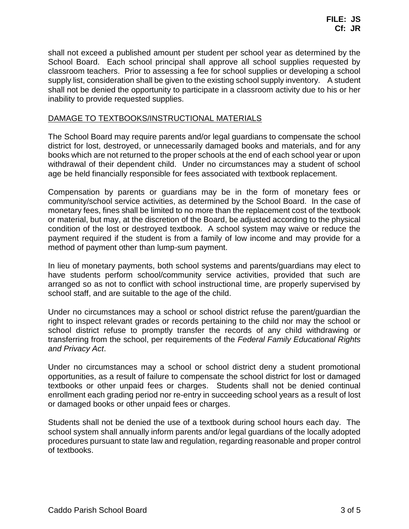shall not exceed a published amount per student per school year as determined by the School Board. Each school principal shall approve all school supplies requested by classroom teachers. Prior to assessing a fee for school supplies or developing a school supply list, consideration shall be given to the existing school supply inventory. A student shall not be denied the opportunity to participate in a classroom activity due to his or her inability to provide requested supplies.

### DAMAGE TO TEXTBOOKS/INSTRUCTIONAL MATERIALS

The School Board may require parents and/or legal guardians to compensate the school district for lost, destroyed, or unnecessarily damaged books and materials, and for any books which are not returned to the proper schools at the end of each school year or upon withdrawal of their dependent child. Under no circumstances may a student of school age be held financially responsible for fees associated with textbook replacement.

Compensation by parents or guardians may be in the form of monetary fees or community/school service activities, as determined by the School Board. In the case of monetary fees, fines shall be limited to no more than the replacement cost of the textbook or material, but may, at the discretion of the Board, be adjusted according to the physical condition of the lost or destroyed textbook. A school system may waive or reduce the payment required if the student is from a family of low income and may provide for a method of payment other than lump-sum payment.

In lieu of monetary payments, both school systems and parents/guardians may elect to have students perform school/community service activities, provided that such are arranged so as not to conflict with school instructional time, are properly supervised by school staff, and are suitable to the age of the child.

Under no circumstances may a school or school district refuse the parent/guardian the right to inspect relevant grades or records pertaining to the child nor may the school or school district refuse to promptly transfer the records of any child withdrawing or transferring from the school, per requirements of the *Federal Family Educational Rights and Privacy Act*.

Under no circumstances may a school or school district deny a student promotional opportunities, as a result of failure to compensate the school district for lost or damaged textbooks or other unpaid fees or charges. Students shall not be denied continual enrollment each grading period nor re-entry in succeeding school years as a result of lost or damaged books or other unpaid fees or charges.

Students shall not be denied the use of a textbook during school hours each day. The school system shall annually inform parents and/or legal guardians of the locally adopted procedures pursuant to state law and regulation, regarding reasonable and proper control of textbooks.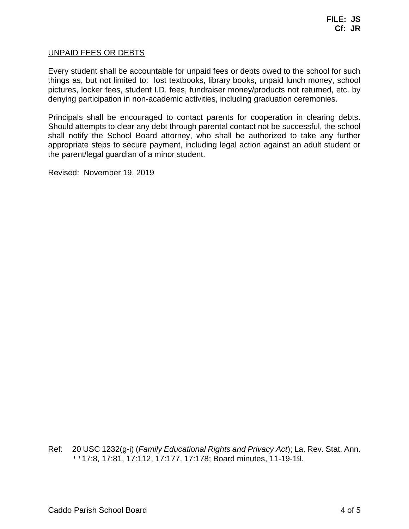#### UNPAID FEES OR DEBTS

Every student shall be accountable for unpaid fees or debts owed to the school for such things as, but not limited to: lost textbooks, library books, unpaid lunch money, school pictures, locker fees, student I.D. fees, fundraiser money/products not returned, etc. by denying participation in non-academic activities, including graduation ceremonies.

Principals shall be encouraged to contact parents for cooperation in clearing debts. Should attempts to clear any debt through parental contact not be successful, the school shall notify the School Board attorney, who shall be authorized to take any further appropriate steps to secure payment, including legal action against an adult student or the parent/legal guardian of a minor student.

Revised: November 19, 2019

Ref: 20 USC 1232(g-i) (*Family Educational Rights and Privacy Act*); La. Rev. Stat. Ann. ''17:8, 17:81, 17:112, 17:177, 17:178; Board minutes, 11-19-19.